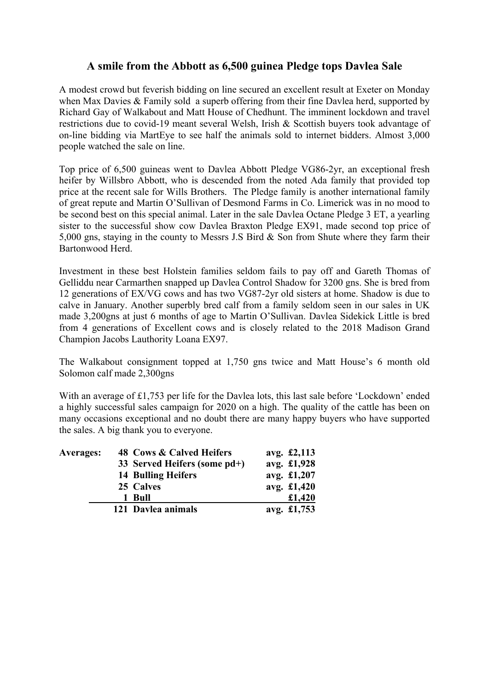## **A smile from the Abbott as 6,500 guinea Pledge tops Davlea Sale**

A modest crowd but feverish bidding on line secured an excellent result at Exeter on Monday when Max Davies & Family sold a superb offering from their fine Davlea herd, supported by Richard Gay of Walkabout and Matt House of Chedhunt. The imminent lockdown and travel restrictions due to covid-19 meant several Welsh, Irish & Scottish buyers took advantage of on-line bidding via MartEye to see half the animals sold to internet bidders. Almost 3,000 people watched the sale on line.

Top price of 6,500 guineas went to Davlea Abbott Pledge VG86-2yr, an exceptional fresh heifer by Willsbro Abbott, who is descended from the noted Ada family that provided top price at the recent sale for Wills Brothers. The Pledge family is another international family of great repute and Martin O'Sullivan of Desmond Farms in Co. Limerick was in no mood to be second best on this special animal. Later in the sale Davlea Octane Pledge 3 ET, a yearling sister to the successful show cow Davlea Braxton Pledge EX91, made second top price of 5,000 gns, staying in the county to Messrs J.S Bird & Son from Shute where they farm their Bartonwood Herd.

Investment in these best Holstein families seldom fails to pay off and Gareth Thomas of Gelliddu near Carmarthen snapped up Davlea Control Shadow for 3200 gns. She is bred from 12 generations of EX/VG cows and has two VG87-2yr old sisters at home. Shadow is due to calve in January. Another superbly bred calf from a family seldom seen in our sales in UK made 3,200gns at just 6 months of age to Martin O'Sullivan. Davlea Sidekick Little is bred from 4 generations of Excellent cows and is closely related to the 2018 Madison Grand Champion Jacobs Lauthority Loana EX97.

The Walkabout consignment topped at 1,750 gns twice and Matt House's 6 month old Solomon calf made 2,300gns

With an average of £1,753 per life for the Davlea lots, this last sale before 'Lockdown' ended a highly successful sales campaign for 2020 on a high. The quality of the cattle has been on many occasions exceptional and no doubt there are many happy buyers who have supported the sales. A big thank you to everyone.

| <b>Averages:</b> | 48 Cows & Calved Heifers     | avg. £2,113 |  |
|------------------|------------------------------|-------------|--|
|                  | 33 Served Heifers (some pd+) | avg. £1,928 |  |
|                  | 14 Bulling Heifers           | avg. £1,207 |  |
|                  | 25 Calves                    | avg. £1,420 |  |
|                  | 1 Bull                       | £1,420      |  |
|                  | 121 Davlea animals           | avg. £1,753 |  |